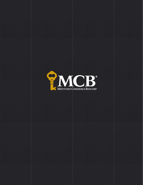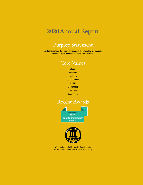# **2020 Annual Report**

# Purpose Statement

Our brand purpose, Responsive, Relationship Banking is how we compete, how we prosper, and how we differentiate ourselves.

## Core Values

**Integrity Excellence Leadership Communication Reality** Accountability **Teamwork Consideration** 

## Recent Awards





We have been rated 5-stars by BauerFinancial for 13 consecutive quarters (March 2018-2021)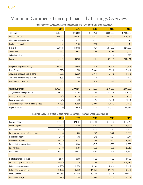# Mountain Commerce Bancorp Financial / Earnings Overview

|                                           | 2016      | 2017      | 2018      | 2019      | 2020          |
|-------------------------------------------|-----------|-----------|-----------|-----------|---------------|
| Total assets                              | \$619,141 | \$746,860 | \$849,195 | \$906,688 | \$1,109,970   |
| Loans receivable                          | 515,433   | 626,102   | 708,301   | 807,440   | 935,482       |
| Allowance for loan losses                 | 5,281     | 6,153     | 6,641     | 5,833     | 13,313        |
| Real estate owned                         | 8,781     | 7,480     | 7,182     | 4,973     | $\frac{1}{2}$ |
| Deposits                                  | 534,327   | 640,132   | 715,134   | 757,932   | 921,896       |
| Senior debt                               | 9,914     | 9,982     | 15,984    | 15,987    | 13,994        |
| Subordinated debt                         |           |           |           |           | 9,778         |
| Equity                                    | 58,191    | 66,152    | 76,454    | 91,024    | 103,841       |
|                                           |           |           |           |           |               |
| Nonperforming assets (NPAs)               | \$10,041  | \$9,040   | \$7,629   | \$6,653   | \$1,801       |
| NPAs / assets                             | 1.62%     | 1.21%     | 0.90%     | 0.73%     | 0.16%         |
| Allowance for loan losses to loans        | 1.02%     | 0.98%     | 0.94%     | 0.72%     | 1.42%         |
| Allowance for loan losses to NPAs         | 53%       | 68%       | 87%       | 88%       | 739%          |
| COVID-19 modifications                    | N/A       | N/A       | N/A       | N/A       | $\frac{1}{2}$ |
|                                           |           |           |           |           |               |
| Shares outstanding                        | 5,758,055 | 5,994,287 | 6,142,997 | 6,249,053 | 6,286,003     |
| Tangible book value per share             | \$10.11   | \$11.04   | \$12.45   | \$14.57   | \$16.52       |
| Closing market price                      | N/A       | \$17.50   | \$17.72   | \$22.10   | \$20.50       |
| Price to book ratio                       | N/A       | 159%      | 142%      | 152%      | 124%          |
| Tangible common equity to tangible assets | 9.40%     | 8.86%     | 9.00%     | 10.04%    | 9.36%         |
| Deposits per branch                       | 106,865   | 128,026   | 143,027   | 151,586   | 184,379       |

Financial Overview (\$000s, Except Percentages and Per Share Data) as of December 31

Earnings Overview (\$000s, Except Per Share Data) For the Year Ended December 31

|                                         | 2016     | 2017     | 2018     | 2019     | 2020     |
|-----------------------------------------|----------|----------|----------|----------|----------|
| Interest income                         | \$23,140 | \$28,467 | \$35,583 | \$41,089 | \$44,248 |
| Interest expense                        | 4,614    | 5,756    | 9,251    | 12,419   | 8,804    |
| Net interest income                     | 18,526   | 22,711   | 26,332   | 28,670   | 35,444   |
| Provision for (recovery of) loan losses | 158      | 1,006    | 573      | (538)    | 7,500    |
| Noninterest income                      | 2,033    | 1,782    | 1,945    | 2,731    | 1,877    |
| Noninterest expense                     | 13,580   | 13,223   | 14,189   | 15,350   | 16,739   |
| Income before income taxes              | 6,821    | 10,264   | 13,515   | 16,589   | 13,082   |
| Income taxes                            | 2,588    | 4,791    | 3,332    | 4,235    | 2,912    |
| Net income                              | \$4,233  | \$5,473  | \$10,183 | \$12,354 | \$10,170 |
|                                         |          |          |          |          |          |
| Diluted earnings per share              | \$1.01   | \$0.89   | \$1.63   | \$1.97   | \$1.62   |
| Pre-tax, pre-provision earnings         | \$6,979  | \$11,270 | \$14,088 | \$16,051 | \$20,582 |
| Return on average assets                | 0.76%    | 0.80%    | 1.26%    | 1.42%    | 0.93%    |
| Return on average equity                | 9.17%    | 8.80%    | 14.35%   | 14.72%   | 10.45%   |
| Efficiency ratio                        | 66.05%   | 53.99%   | 50.18%   | 48.88%   | 44.55%   |
| Net interest margin                     | 3.79%    | 3.71%    | 3.56%    | 3.44%    | 3.39%    |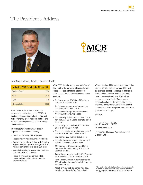# The President's Address





### Dear Shareholders, Clients & Friends of MCB:

| Adjusted 2020 Results at a Glance (%) |       |
|---------------------------------------|-------|
| Earnings Growth                       | 26.8  |
| <b>ROAF</b>                           | 15.70 |
| <b>ROAA</b>                           | 1.40  |
| <b>Efficiency Ratio</b>               | 43.95 |

When I wrote to you at this time last year, we were in the early stages of the COVID-19 pandemic. Business activity, travel, dining and many other areas of life had been curtailed and we were assessing the impact of those changes on our business.

Throughout 2020, we took many steps in response to the pandemic, including:

- Remote work for many of our employees
- Adjusting how we handled business in our lobbies
- Significant participation in the Paycheck Protection Program (PPP), through which we originated \$107.5 million in loans and received fees of \$3.5 million
- Materially increasing our allowance for loan losses from \$5.8 million to \$13.3 million
- Raising \$10 million of subordinated debt to provide additional capital protection against an economic downturn

While 2020 financial results were quite "noisy" as a result of the increased allowance for loan losses, PPP fees earned and a number of other matters, several accomplishments clearly stood out:

- Core1 earnings grew 26.8% from \$12 million in 2019 to \$15.3 million in 2020
- Core1 return on average assets improved from 1.38% in 2019 to 1.40% in 2020
- Core<sup>1</sup> return on average equity improved from 14.35% in 2019 to 15.70% in 2020
- Core1 efficiency ratio declined to 43.95% in 2020 from 48.67% in 2019, which is among the best in the industry
- Core1 earnings per share increased 27.1% from \$1.92 in 2019 to \$2.44 in 2020
- Pre-tax, pre-provision earnings increased to \$20.6 million in 2020 from \$16.1 million in 2019
- Loan balances grew 15.9% to \$935.5 million
- Nonperforming assets declined 72.9% from \$6.7 million in 2019 to \$1.8 million in 2020
- COVID-related modifications decreased from a high of over \$200 million during 2020 to \$0 by December 31, 2020.
- Tangible book value grew from \$14.57 at December 31, 2019 to \$16.52 by the same time in 2020
- Ranked #43 on American Banker Magazine's top 200 publicly traded community banks list – up from #96 in the prior year
- Added key members to our management team, including chief financial officer David A. Bright

Without question, 2020 was a record year for the Bank by any standard and we enter 2021 with the strongest earnings, asset quality and capital profile we have ever had. While uncertainties remain, we are optimistic that 2021 will be another record year for the Company as we continue to deliver top-tier shareholder returns. Thank you for your continued trust and support as we work to deliver the performance and results you have come to expect.

Sincerely,

wasdat of The

William E. Edwards, III

Founder, Vice-Chairman, President and Chief Executive Officer

<sup>1</sup> Core results exclude realized gains and losses on investments, accretion of PPP fees, net, losses from the sale of REO, impairment of premises, and the provision for credit losses. See our Q4 2020 Press Release for more information.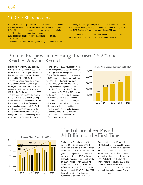# To Our Shareholders:

Last year was one of significant economic and personal uncertainty for everyone on the planet. It was like nothing we had ever experienced before. Given that operating environment, we bolstered our capital with: 2016 2017 2018 2019 2020

1. A \$10 million subordinated debt issuance;

1.62%

- 2. Increased our loan loss reserves by adding a supplemental \$7.5 million, and
- 3. Cleaned up our balance sheet by eliminating all real estate owned.

Additionally, we were significant participants in the Paycheck Protection Program (PPP), helping our neighbors and community by granting more than \$107.5 million in financial assistance through PPP loans. <u>re significant particine</u>

As an outcome, we enter 2021 poised with the belief that our strong asset quality and capital should result in another excellent year.

0

### Pre-tax, Pre-provision Earnings Increased 28.2% and Reached Another Record  $\mathbf{1}$  $\overline{1}$

\$35.4 million for the same period in 2020. an sagn net interest income damig are y also recognized approximately \$1.7 mil<br>in PPP loan origination fees, net of the interest-bearing liabilities. The Company The unference was primality the result to the control of the suit of the control of the control of the control o 0.4% or \$1.62 per diluted share, versus \$12.4 0.0% 2016 2017 2018 2019 2020 increased 28.2% to \$20.6 million in 2020. Net income in 2020 was \$10.2 million, million in 2019, or \$1.97 per diluted share. Pre-tax, pre-provision earnings, however, The increase was primarily driven by an increase in net interest income of \$6.8 million, or 23.6%, from \$28.7 million for the year ended December 31, 2019 to The difference was primarily the result of assets and a decrease in the rate paid on also recognized approximately \$1.7 million amortization of deferred PPP loan costs, through net interest income during the year

\$2.0

2019 to \$1.9 million during the same period increase in compensation and benefits, of was primarily the result of a \$700 thousand income decreased \$900 thousand from \$2.7 million during the year ended December 31, of 2020. The decrease was primarily due to a \$500 thousand decline in swap brokerage fees and a \$500 thousand write-down on the Company's previous headquarters building. Noninterest expense increased \$1.4 million from \$15.4 million for the year ended December 31, 2019 to \$16.7 million for the same period of 2020. This increase which \$400 thousand related to one-time PPP bonuses, a \$300 thousand increase in the loss on sale of REO as the Company liquidated its remaining REO properties, and a \$400 thousand increase in the reserve for unfunded loan commitments.

Pre-tax, Pre-provision Earnings (in \$000's)





## \$1 Billion for the First Time

Total assets at December 31, 2020 reached \$1.11 billion, an increase of 22.4% from total assets of \$906.7 million at December 31, 2019. In fact, assets have grown at a compounded annual growth rate of over 15% from 2016 to the present. Loans also experienced significant growth of 15.8%, increasing from \$807.4 million at December 31, 2019 to \$935.5 million at December 31, 2020. During 2020, the Company originated \$107.5 million of PPP loans, of which \$81.5 million were still outstanding as of December 31, 2020.

The Balance Sheet Passed

Total deposits increased \$164 million, or 21.6%, from \$757.9 million at December 31, 2019 to \$921.9 million at December 31, 2020. The primary driver of this increase was a \$69.4 million increase in noninterest-bearing deposit balances from \$138.9 million to \$208.2 million. The Company also issued a \$50 million brokered-CD at an interest rate of 0.15% during the fourth quarter of 2020 in order to pay off its remaining Federal Reserve PPPLF borrowings.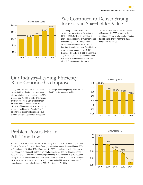

# We Continued to Deliver Strong Increases in Shareholder Value

0.0

0.0

Total equity increased \$12.8 million, or 14.1%, from \$91 million at December 31, 2019 to \$103.8 million at December 31, 2020. This increase was primarily composed of net income of \$10.2 million, as well as an increase in the unrealized gain on investments available for sale. Tangible book value per share improved from \$14.57 at December 31, 2019 to \$16.52 at December 31, 2020. Since 2016, tangible book value 80,000 or, ESES: Since ESTS, dingibio Book value of 13%. Equity to assets declined from

10.04% at December 31, 2019 to 9.36% at December 31, 2020 because of the at Becombor 81, ECEC Because of the<br>significant increase in total assets, including the PPP loans. The Company and Bank remain well capitalized.

### Our Industry-Leading Efficiency Ratio Continued to Improve  $\bigcap$ . Tuc

During 2020, we continued to operate one of the most efficient Banks in our peer group, with our efficiency ratio dropping to 44.55% in 2020 from 48.88% in 2019. The average efficiency ratio for all Banks with between \$1 billion and \$3 billion in assets was 61.7% as of December 31, 2020, according to data derived from BankTrends. This 17 bp difference compared to our peer group provides the Bank a significant competitive

25,000

1,200,000

advantage and is the primary driver for the Bank's top-tier earnings profile.



NPAs/Assets (%) NPAs/Assets (%)



### Problem Assets Hit an All-Time Low  $1$ ,  $5\,$   $\Gamma$

Nonperforming loans to total loans decreased slightly from 0.21% at December 31, 2019 to 0.19% at December 31, 2020. Nonperforming assets to total assets decreased from 0.73% at December 31, 2019 to 0.16% at December 31, 2020, primarily as a result of the sale of the Company's remaining \$5 million of real estate-owned properties over the same period. Net charge-offs of \$20 thousand were recognized during 2020 compared to \$270 thousand during 2019. The allowance for loan losses to total loans increased from 0.72% at December 31, 2019 to 1.42% at December 31, 2020 (1.56% excluding PPP loans) and coverage of nonperforming loans remained strong at 739.2% at December 31, 2020.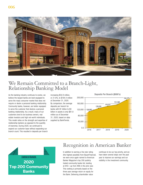

# We Remain Committed to a Branch-Light, Relationship Banking Model

As the banking industry continues to evolve, we believe the largest banks are best equipped to serve the mass consumer market that does not require or desire a personal banking relationship. Community banks, however, are better equipped to serve the customer that desires a personal banking relationship. As a result, many of our customers tend to be business owners, real estate investors and high net-worth individuals. This model relies on the strength and expertise of relationship bankers as opposed to the quantity of branches. During 2020, we continued to expand our customer base without expanding our branch count. This resulted in deposits per branch

increasing \$32.8 million, or 21.6%, to \$184.4 million at December 31, 2020. By comparison, the average deposits per branch for banks with \$1 billion to \$3 billion in assets is only \$81.8 million as of December 31, 2020, based on data supplied by BankTrends.



Efficiency Ratio



### Recognition in American Banker 70% 66.05% 53.99% 50.18% 48.88%

In addition to earning a five-star rating (the highest possible) from BauerFinancial, we were once again named to American Banker Magazine's top 200 publicly traded community banks list, landing at #43—up from #96 in the prior year. This ranking is primarily based on the three-year average return on equity for and your average redain on equity for the Bank. Delivering shareholder value

continues to be our top priority, and we have taken several steps over the past year to improve our earnings and our visibility in the investment community.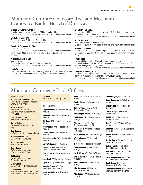## Mountain Commerce Bancorp, Inc. and Mountain Commerce Bank - Board of Directors

#### **William E. "Bill" Edwards, III**

Founder / Vice-Chairman / President / Chief Executive Officer Director of Mountain Commerce Bancorp, Inc. and Mountain Commerce Bank

#### **Wade H. Farmer, CPA**

Partner, Blackburn Childers and Steagall, PLC Director of Mountain Commerce Bancorp, Inc. and Mountain Commerce Bank

#### **Dwight B. Ferguson, Jr., CPA**

Chairman of the Board

Director of Mountain Commerce Bancorp, Inc. and Mountain Commerce Bank Retired since 2009; prior thereto President & CEO of Nuclear Fuel Services, Inc.

#### **Michael L. Hatcher, CPA**

Vice-Chairman

Commercial Developer; Owner of Hatcher Properties Director of Mountain Commerce Bancorp, Inc. and Mountain Commerce Bank

#### **Kevin W. Horne**

EVP / Chief Credit Officer / Chief Operating Officer & Area President – Tri-Cities Director of Mountain Commerce Bancorp, Inc. and Mountain Commerce Bank

#### **Wendell C. Kirk, CPA**

Retired since 1990; prior thereto President & CEO of Heritage Federal Bank Consultant - Kirk and Associates Director of Mountain Commerce Bancorp, Inc. and Mountain Commerce Bank

#### **Tim A. Topham**

EVP / Area President – Knoxville Region Director of Mountain Commerce Bancorp, Inc. and Mountain Commerce Bank

#### **Samuel L. Widener**

Owner of Winco Tile and Wincrest Angus Farm; Partner, Wincrest Properties, LP; Director of Mountain Commerce Bancorp, Inc. and Mountain Commerce Bank

#### **Frank Wood**

Owner & Chief Executive Officer of Holston Companies; includes Holston Distributing Co., Inc., Warehouse Central, LLC, Truck Central, LLC, Records Storage and Management Central, LLC Director of Mountain Commerce Bancorp, Inc. and Mountain Commerce Bank

#### **Douglas A. Yoakley, CPA**

Co-founded Pershing Yoakley and Associates, a CPA firm in Knoxville; serves as wealth management consultant for PYA Waltman Capital Director of Mountain Commerce Bancorp, Inc. and Mountain Commerce Bank

# Mountain Commerce Bank Officers

#### Senior Officers

**William E. "Bill" Edwards, III** Founder / Vice-Chairman / President / Chief Executive Officer

**Kevin W. Horne** EVP / Chief Credit Officer / Chief Operating Officer & Area President – Tri-Cities

**David A. Bright, CPA** EVP / Chief Financial Officer

**Tim A. Topham** EVP / Area President – Knoxville **Region** 

**Tom Jensen** EVP / City Executive – Knoxville Region

**Marie Patterson, CPA** SVP / Director of Accounting

**Phillip Wampler** SVP / Chief Compliance Officer

**Tracy Jones** SVP / Director of Operations / Electronic Banking Officer

**Todd Jones** SVP / Director of Investments & Financial Planning

**Vicki Weaver** SVP / Director of Human Resources

### **Donnie Blair**

SVP / Dir. of Technology & Information Security / Information Security Officer

**V.V. Elliott** FVP / Director of Loan Operations

Other Officers

**Stephanie Barnes**, SVP / Relationship Manager

**Andrew Barrett**, SVP / Relationship Manager

**Bill Beard**, SVP / Senior Credit Review **Officer** 

**Bobby Brown**, SVP / Relationship Manager

**Connie French**, SVP / Relationship Manager

**Michael Saporito**, SVP / Relationship Manager

**Terry Weltman**, SVP / Controller

**Regenia B. Ellis**, FVP / Corporate Secretary / Executive Assistant

**Kara Honeycutt**, FVP / Senior Credit Analyst

**Jerry Beal**, VP / Relationship Manager

**Bryan Bentley**, VP / Portfolio Manager

**Rualette Bowen**, VP / Branch Manager – Bristol Highway

**Jason Burleson**, VP / Relationship Manager

**Brice Chapman**, VP / Relationship Manager

**Daniel Cheng**, VP / Senior Credit Analyst

**Tammy Clevinger**, VP / Credit Administration Officer

**Kelli Cooper**, VP / BSA/AML Officer

**Nellie Dunn,** VP / Treasury Service Manager

**Melissa Haines**, VP / Branch Administrator / Security Officer

**Kelsey Innis**, VP / Branch Manager – Bearden

**Tony Johnson**, VP / Portfolio Manager

**Wesley Lemon**, VP / Assistant **Controller** 

**Tim Tull**, VP / Relationship Manager

**Cindy Widener**, VP / Relationship Manager

**Kristi Wilson**, VP / Portfolio Manager

**Erik B. Wilson**, VP / Senior Portfolio Manager

**Staci Wilkerson**, VP / Relationship Manager

**Kim Alexander**, AVP / Senior Operations Specialist

**Allie Bixler**, AVP / Private Banking Specialist

**Shane Broyles**, AVP / Loan Officer

**Stacy Connatser, AVP / Relationship** Manager

**Kristie Gross**, AVP / Senior Loan Coordinator

**Charlie Hodges**, AVP / Network Administrator

**Nikki Hogston**, AVP / Branch Manager – Unicoi

**Brad Pollock**, AVP / Special Assets Manager

**Nancy Price**, AVP / Senior Operations **Specialist** 

**Helene Rodzevicius**, AVP / Portfolio Manager

**Neisha Clouse**, Bank Officer / Loan Operations Specialist

**Katherin Conley**, Bank Officer / Branch Manager – Cedar Bluff

**Pam Farmer, Bank Officer / Loan** Operations Specialist

**Casie Hempenstall**, Bank Officer / Branch Manager – Erwin North Main

**Sandy Lamb**, Bank Officer / Document Review Specialist

**Samuel Stevenson**, Bank Officer / Credit Analyst / Portfolio Manager